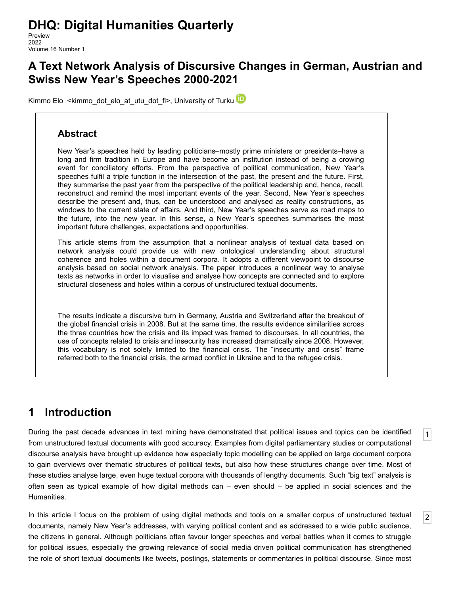# **DHQ: Digital Humanities Quarterly**

Preview 2022 Volume 16 Number 1

## **A Text Network Analysis of Discursive Changes in German, Austrian and Swiss New Year's Speeches 2000-2021**

[Kimmo Elo](http://www.digitalhumanities.org/dhq/preview/bios.html#elo_kimmo) [<kimmo\\_dot\\_elo\\_at\\_utu\\_dot\\_fi](mailto:kimmo_dot_elo_at_utu_dot_fi)>, University of Turku

#### **Abstract**

New Year's speeches held by leading politicians–mostly prime ministers or presidents–have a long and firm tradition in Europe and have become an institution instead of being a crowing event for conciliatory efforts. From the perspective of political communication, New Year's speeches fulfil a triple function in the intersection of the past, the present and the future. First, they summarise the past year from the perspective of the political leadership and, hence, recall, reconstruct and remind the most important events of the year. Second, New Year's speeches describe the present and, thus, can be understood and analysed as reality constructions, as windows to the current state of affairs. And third, New Year's speeches serve as road maps to the future, into the new year. In this sense, a New Year's speeches summarises the most important future challenges, expectations and opportunities.

This article stems from the assumption that a nonlinear analysis of textual data based on network analysis could provide us with new ontological understanding about structural coherence and holes within a document corpora. It adopts a different viewpoint to discourse analysis based on social network analysis. The paper introduces a nonlinear way to analyse texts as networks in order to visualise and analyse how concepts are connected and to explore structural closeness and holes within a corpus of unstructured textual documents.

The results indicate a discursive turn in Germany, Austria and Switzerland after the breakout of the global financial crisis in 2008. But at the same time, the results evidence similarities across the three countries how the crisis and its impact was framed to discourses. In all countries, the use of concepts related to crisis and insecurity has increased dramatically since 2008. However, this vocabulary is not solely limited to the financial crisis. The "insecurity and crisis" frame referred both to the financial crisis, the armed conflict in Ukraine and to the refugee crisis.

## **1 Introduction**

<span id="page-0-0"></span>During the past decade advances in text mining have demonstrated that political issues and topics can be identified from unstructured textual documents with good accuracy. Examples from digital parliamentary studies or computational discourse analysis have brought up evidence how especially topic modelling can be applied on large document corpora to gain overviews over thematic structures of political texts, but also how these structures change over time. Most of these studies analyse large, even huge textual corpora with thousands of lengthy documents. Such "big text" analysis is often seen as typical example of how digital methods can – even should – be applied in social sciences and the Humanities.

[1](#page-0-0)

[2](#page-0-1)

<span id="page-0-1"></span>In this article I focus on the problem of using digital methods and tools on a smaller corpus of unstructured textual documents, namely New Year's addresses, with varying political content and as addressed to a wide public audience, the citizens in general. Although politicians often favour longer speeches and verbal battles when it comes to struggle for political issues, especially the growing relevance of social media driven political communication has strengthened the role of short textual documents like tweets, postings, statements or commentaries in political discourse. Since most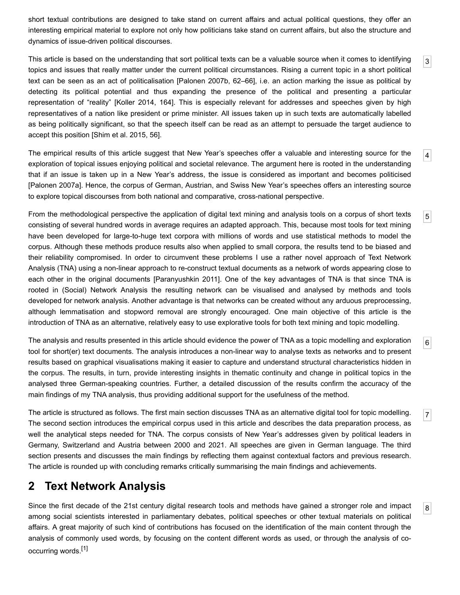short textual contributions are designed to take stand on current affairs and actual political questions, they offer an interesting empirical material to explore not only how politicians take stand on current affairs, but also the structure and dynamics of issue-driven political discourses.

<span id="page-1-0"></span>This article is based on the understanding that sort political texts can be a valuable source when it comes to identifying topics and issues that really matter under the current political circumstances. Rising a current topic in a short political text can be seen as an act of politicalisation [\[Palonen 2007b,](#page-16-0) 62–66], i.e. an action marking the issue as political by detecting its political potential and thus expanding the presence of the political and presenting a particular representation of "reality" [[Koller 2014](#page-15-0), 164]. This is especially relevant for addresses and speeches given by high representatives of a nation like president or prime minister. All issues taken up in such texts are automatically labelled as being politically significant, so that the speech itself can be read as an attempt to persuade the target audience to accept this position [[Shim et al. 2015](#page-16-1), 56].

[3](#page-1-0)

[5](#page-1-2)

[6](#page-1-3)

[7](#page-1-4)

[8](#page-1-5)

<span id="page-1-1"></span>[4](#page-1-1) The empirical results of this article suggest that New Year's speeches offer a valuable and interesting source for the exploration of topical issues enjoying political and societal relevance. The argument here is rooted in the understanding that if an issue is taken up in a New Year's address, the issue is considered as important and becomes politicised [\[Palonen 2007a](#page-15-1)]. Hence, the corpus of German, Austrian, and Swiss New Year's speeches offers an interesting source to explore topical discourses from both national and comparative, cross-national perspective.

<span id="page-1-2"></span>From the methodological perspective the application of digital text mining and analysis tools on a corpus of short texts consisting of several hundred words in average requires an adapted approach. This, because most tools for text mining have been developed for large-to-huge text corpora with millions of words and use statistical methods to model the corpus. Although these methods produce results also when applied to small corpora, the results tend to be biased and their reliability compromised. In order to circumvent these problems I use a rather novel approach of Text Network Analysis (TNA) using a non-linear approach to re-construct textual documents as a network of words appearing close to each other in the original documents [\[Paranyushkin 2011](#page-16-2)]. One of the key advantages of TNA is that since TNA is rooted in (Social) Network Analysis the resulting network can be visualised and analysed by methods and tools developed for network analysis. Another advantage is that networks can be created without any arduous preprocessing, although lemmatisation and stopword removal are strongly encouraged. One main objective of this article is the introduction of TNA as an alternative, relatively easy to use explorative tools for both text mining and topic modelling.

<span id="page-1-3"></span>The analysis and results presented in this article should evidence the power of TNA as a topic modelling and exploration tool for short(er) text documents. The analysis introduces a non-linear way to analyse texts as networks and to present results based on graphical visualisations making it easier to capture and understand structural characteristics hidden in the corpus. The results, in turn, provide interesting insights in thematic continuity and change in political topics in the analysed three German-speaking countries. Further, a detailed discussion of the results confirm the accuracy of the main findings of my TNA analysis, thus providing additional support for the usefulness of the method.

<span id="page-1-4"></span>The article is structured as follows. The first main section discusses TNA as an alternative digital tool for topic modelling. The second section introduces the empirical corpus used in this article and describes the data preparation process, as well the analytical steps needed for TNA. The corpus consists of New Year's addresses given by political leaders in Germany, Switzerland and Austria between 2000 and 2021. All speeches are given in German language. The third section presents and discusses the main findings by reflecting them against contextual factors and previous research. The article is rounded up with concluding remarks critically summarising the main findings and achievements.

## **2 Text Network Analysis**

<span id="page-1-5"></span>Since the first decade of the 21st century digital research tools and methods have gained a stronger role and impact among social scientists interested in parliamentary debates, political speeches or other textual materials on political affairs. A great majority of such kind of contributions has focused on the identification of the main content through the analysis of commonly used words, by focusing on the content different words as used, or through the analysis of cooccurring words[.\[1\]](#page-14-0)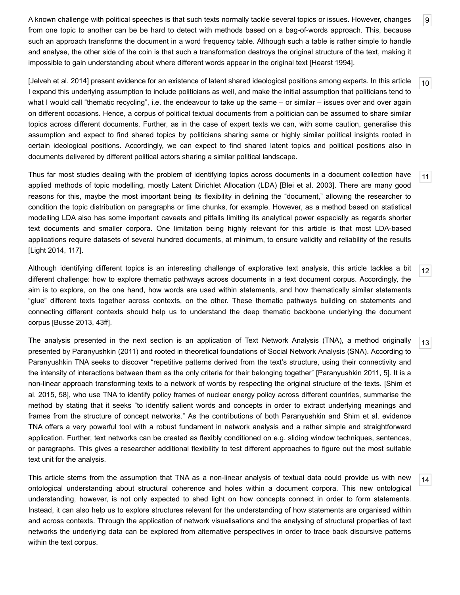<span id="page-2-0"></span>A known challenge with political speeches is that such texts normally tackle several topics or issues. However, changes from one topic to another can be be hard to detect with methods based on a bag-of-words approach. This, because such an approach transforms the document in a word frequency table. Although such a table is rather simple to handle and analyse, the other side of the coin is that such a transformation destroys the original structure of the text, making it impossible to gain understanding about where different words appear in the original text [[Hearst 1994](#page-15-2)].

<span id="page-2-1"></span>[\[Jelveh et al. 2014\]](#page-15-3) present evidence for an existence of latent shared ideological positions among experts. In this article I expand this underlying assumption to include politicians as well, and make the initial assumption that politicians tend to what I would call "thematic recycling", i.e. the endeavour to take up the same – or similar – issues over and over again on different occasions. Hence, a corpus of political textual documents from a politician can be assumed to share similar topics across different documents. Further, as in the case of expert texts we can, with some caution, generalise this assumption and expect to find shared topics by politicians sharing same or highly similar political insights rooted in certain ideological positions. Accordingly, we can expect to find shared latent topics and political positions also in documents delivered by different political actors sharing a similar political landscape.

<span id="page-2-2"></span>Thus far most studies dealing with the problem of identifying topics across documents in a document collection have applied methods of topic modelling, mostly Latent Dirichlet Allocation (LDA) [\[Blei et al. 2003\]](#page-14-1). There are many good reasons for this, maybe the most important being its flexibility in defining the "document," allowing the researcher to condition the topic distribution on paragraphs or time chunks, for example. However, as a method based on statistical modelling LDA also has some important caveats and pitfalls limiting its analytical power especially as regards shorter text documents and smaller corpora. One limitation being highly relevant for this article is that most LDA-based applications require datasets of several hundred documents, at minimum, to ensure validity and reliability of the results [\[Light 2014](#page-15-4), 117].

<span id="page-2-3"></span>Although identifying different topics is an interesting challenge of explorative text analysis, this article tackles a bit different challenge: how to explore thematic pathways across documents in a text document corpus. Accordingly, the aim is to explore, on the one hand, how words are used within statements, and how thematically similar statements "glue" different texts together across contexts, on the other. These thematic pathways building on statements and connecting different contexts should help us to understand the deep thematic backbone underlying the document corpus [[Busse 2013,](#page-15-5) 43ff].

<span id="page-2-4"></span>The analysis presented in the next section is an application of Text Network Analysis (TNA), a method originally presented by Paranyushkin (2011) and rooted in theoretical foundations of Social Network Analysis (SNA). According to Paranyushkin TNA seeks to discover "repetitive patterns derived from the text's structure, using their connectivity and the intensity of interactions between them as the only criteria for their belonging together" [\[Paranyushkin 2011](#page-16-2), 5]. It is a [non-linear approach transforming texts to a network of words by respecting the original structure of the texts. \[Shim et](#page-16-1) al. 2015, 58], who use TNA to identify policy frames of nuclear energy policy across different countries, summarise the method by stating that it seeks "to identify salient words and concepts in order to extract underlying meanings and frames from the structure of concept networks." As the contributions of both Paranyushkin and Shim et al. evidence TNA offers a very powerful tool with a robust fundament in network analysis and a rather simple and straightforward application. Further, text networks can be created as flexibly conditioned on e.g. sliding window techniques, sentences, or paragraphs. This gives a researcher additional flexibility to test different approaches to figure out the most suitable text unit for the analysis.

<span id="page-2-5"></span>This article stems from the assumption that TNA as a non-linear analysis of textual data could provide us with new ontological understanding about structural coherence and holes within a document corpora. This new ontological understanding, however, is not only expected to shed light on how concepts connect in order to form statements. Instead, it can also help us to explore structures relevant for the understanding of how statements are organised within and across contexts. Through the application of network visualisations and the analysing of structural properties of text networks the underlying data can be explored from alternative perspectives in order to trace back discursive patterns within the text corpus.

[10](#page-2-1)

[11](#page-2-2)

[12](#page-2-3)

[13](#page-2-4)

[14](#page-2-5)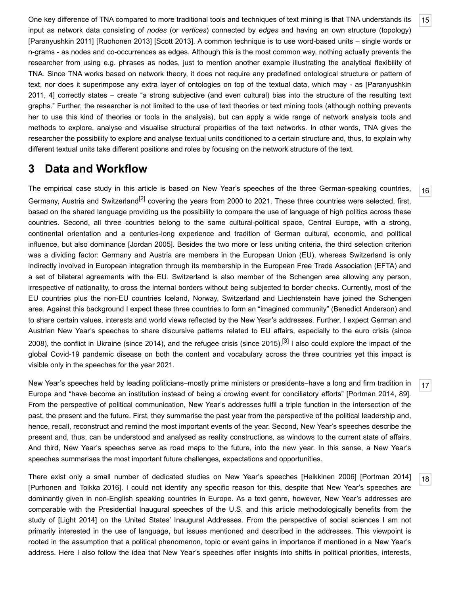<span id="page-3-0"></span>One key difference of TNA compared to more traditional tools and techniques of text mining is that TNA understands its input as network data consisting of *nodes* (or *vertices*) connected by *edges* and having an own structure (topology) [\[Paranyushkin 2011](#page-16-2)] [[Ruohonen 2013\]](#page-16-3) [\[Scott 2013\]](#page-16-4). A common technique is to use word-based units – single words or n-grams - as nodes and co-occurrences as edges. Although this is the most common way, nothing actually prevents the researcher from using e.g. phrases as nodes, just to mention another example illustrating the analytical flexibility of TNA. Since TNA works based on network theory, it does not require any predefined ontological structure or pattern of [text, nor does it superimpose any extra layer of ontologies on top of the textual data, which may - as \[Paranyushkin](#page-16-2) 2011, 4] correctly states – create "a strong subjective (and even cultural) bias into the structure of the resulting text graphs." Further, the researcher is not limited to the use of text theories or text mining tools (although nothing prevents her to use this kind of theories or tools in the analysis), but can apply a wide range of network analysis tools and methods to explore, analyse and visualise structural properties of the text networks. In other words, TNA gives the researcher the possibility to explore and analyse textual units conditioned to a certain structure and, thus, to explain why different textual units take different positions and roles by focusing on the network structure of the text.

### **3 Data and Workflow**

<span id="page-3-1"></span>The empirical case study in this article is based on New Year's speeches of the three German-speaking countries, Germany, Austria and Switzerland<sup>[2]</sup> covering the years from 2000 to 2021. These three countries were selected, first, based on the shared language providing us the possibility to compare the use of language of high politics across these countries. Second, all three countries belong to the same cultural-political space, Central Europe, with a strong, continental orientation and a centuries-long experience and tradition of German cultural, economic, and political influence, but also dominance [\[Jordan 2005](#page-15-6)]. Besides the two more or less uniting criteria, the third selection criterion was a dividing factor: Germany and Austria are members in the European Union (EU), whereas Switzerland is only indirectly involved in European integration through its membership in the European Free Trade Association (EFTA) and a set of bilateral agreements with the EU. Switzerland is also member of the Schengen area allowing any person, irrespective of nationality, to cross the internal borders without being subjected to border checks. Currently, most of the EU countries plus the non-EU countries Iceland, Norway, Switzerland and Liechtenstein have joined the Schengen area. Against this background I expect these three countries to form an "imagined community" (Benedict Anderson) and to share certain values, interests and world views reflected by the New Year's addresses. Further, I expect German and Austrian New Year's speeches to share discursive patterns related to EU affairs, especially to the euro crisis (since 2008), the conflict in Ukraine (since 2014), and the refugee crisis (since 2015).[\[3\]](#page-14-3) I also could explore the impact of the global Covid-19 pandemic disease on both the content and vocabulary across the three countries yet this impact is visible only in the speeches for the year 2021.

<span id="page-3-2"></span>New Year's speeches held by leading politicians–mostly prime ministers or presidents–have a long and firm tradition in Europe and "have become an institution instead of being a crowing event for conciliatory efforts" [[Portman 2014](#page-16-5), 89]. From the perspective of political communication, New Year's addresses fulfil a triple function in the intersection of the past, the present and the future. First, they summarise the past year from the perspective of the political leadership and, hence, recall, reconstruct and remind the most important events of the year. Second, New Year's speeches describe the present and, thus, can be understood and analysed as reality constructions, as windows to the current state of affairs. And third, New Year's speeches serve as road maps to the future, into the new year. In this sense, a New Year's speeches summarises the most important future challenges, expectations and opportunities.

<span id="page-3-3"></span>There exist only a small number of dedicated studies on New Year's speeches [[Heikkinen 2006](#page-15-7)] [\[Portman 2014\]](#page-16-5) [\[Purhonen and Toikka 2016\]](#page-16-6). I could not identify any specific reason for this, despite that New Year's speeches are dominantly given in non-English speaking countries in Europe. As a text genre, however, New Year's addresses are comparable with the Presidential Inaugural speeches of the U.S. and this article methodologically benefits from the study of [\[Light 2014\]](#page-15-4) on the United States' Inaugural Addresses. From the perspective of social sciences I am not primarily interested in the use of language, but issues mentioned and described in the addresses. This viewpoint is rooted in the assumption that a political phenomenon, topic or event gains in importance if mentioned in a New Year's address. Here I also follow the idea that New Year's speeches offer insights into shifts in political priorities, interests,

[16](#page-3-1)

[17](#page-3-2)

[18](#page-3-3)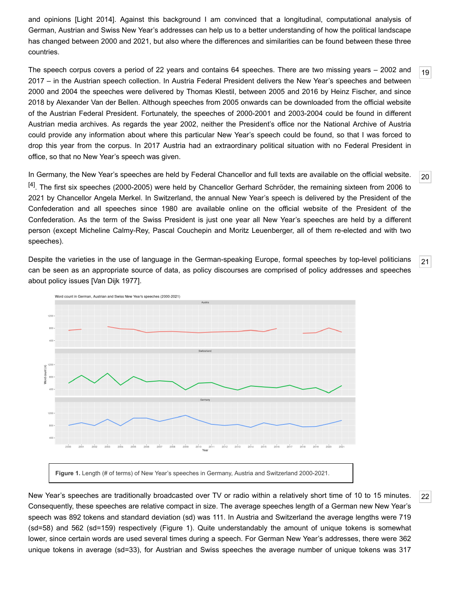and opinions [\[Light 2014\]](#page-15-4). Against this background I am convinced that a longitudinal, computational analysis of German, Austrian and Swiss New Year's addresses can help us to a better understanding of how the political landscape has changed between 2000 and 2021, but also where the differences and similarities can be found between these three countries.

<span id="page-4-0"></span>The speech corpus covers a period of 22 years and contains 64 speeches. There are two missing years – 2002 and 2017 – in the Austrian speech collection. In Austria Federal President delivers the New Year's speeches and between 2000 and 2004 the speeches were delivered by Thomas Klestil, between 2005 and 2016 by Heinz Fischer, and since 2018 by Alexander Van der Bellen. Although speeches from 2005 onwards can be downloaded from the [official website](http://www.digitalhumanities.org/dhq/vol/16/1/000598/www.bundespraesident.at) of the Austrian Federal President. Fortunately, the speeches of 2000-2001 and 2003-2004 could be found in different Austrian media archives. As regards the year 2002, neither the President's office nor the National Archive of Austria could provide any information about where this particular New Year's speech could be found, so that I was forced to drop this year from the corpus. In 2017 Austria had an extraordinary political situation with no Federal President in office, so that no New Year's speech was given.

<span id="page-4-1"></span>In Germany, the New Year's speeches are held by Federal Chancellor and full texts are available on the [official website.](http://www.digitalhumanities.org/dhq/vol/16/1/000598/www.bundeskanzler.de) <sup>[4]</sup>. The first six speeches (2000-2005) were held by Chancellor Gerhard Schröder, the remaining sixteen from 2006 to 2021 by Chancellor Angela Merkel. In Switzerland, the annual New Year's speech is delivered by the President of the Confederation and all speeches since 1980 are available online on the [official website](http://www.digitalhumanities.org/dhq/vol/16/1/000598/www.admin.ch/gov/de/start/dokumentation/reden/neujahrsansprachen.html) of the President of the Confederation. As the term of the Swiss President is just one year all New Year's speeches are held by a different person (except Micheline Calmy-Rey, Pascal Couchepin and Moritz Leuenberger, all of them re-elected and with two speeches).

<span id="page-4-2"></span>Despite the varieties in the use of language in the German-speaking Europe, formal speeches by top-level politicians can be seen as an appropriate source of data, as policy discourses are comprised of policy addresses and speeches about policy issues [\[Van Dijk 1977](#page-16-7)].



<span id="page-4-3"></span>New Year's speeches are traditionally broadcasted over TV or radio within a relatively short time of 10 to 15 minutes. Consequently, these speeches are relative compact in size. The average speeches length of a German new New Year's speech was 892 tokens and standard deviation (sd) was 111. In Austria and Switzerland the average lengths were 719 (sd=58) and 562 (sd=159) respectively (Figure 1). Quite understandably the amount of unique tokens is somewhat lower, since certain words are used several times during a speech. For German New Year's addresses, there were 362 unique tokens in average (sd=33), for Austrian and Swiss speeches the average number of unique tokens was 317

[20](#page-4-1)

[21](#page-4-2)

[22](#page-4-3)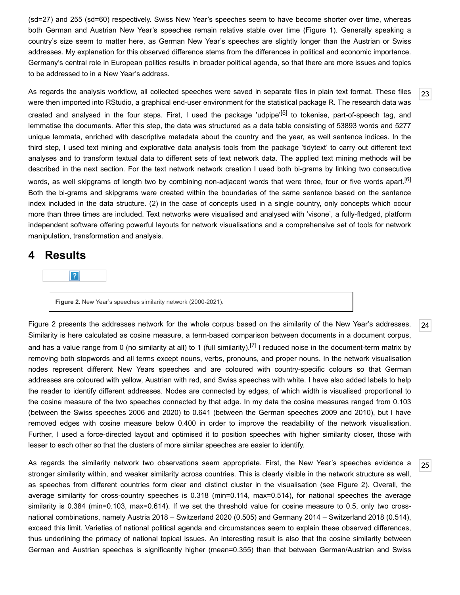(sd=27) and 255 (sd=60) respectively. Swiss New Year's speeches seem to have become shorter over time, whereas both German and Austrian New Year's speeches remain relative stable over time (Figure 1). Generally speaking a country's size seem to matter here, as German New Year's speeches are slightly longer than the Austrian or Swiss addresses. My explanation for this observed difference stems from the differences in political and economic importance. Germany's central role in European politics results in broader political agenda, so that there are more issues and topics to be addressed to in a New Year's address.

<span id="page-5-0"></span>As regards the analysis workflow, all collected speeches were saved in separate files in plain text format. These files were then imported into [RStudio](https://www.rstudio.com/), a graphical end-user environment for the statistical [package R](http://www.r-project.org/). The research data was created and analysed in the four steps. First, I used the package 'udpipe'<sup>[5]</sup> to tokenise, part-of-speech tag, and lemmatise the documents. After this step, the data was structured as a data table consisting of 53893 words and 5277 unique lemmata, enriched with descriptive metadata about the country and the year, as well sentence indices. In the third step, I used text mining and explorative data analysis tools from the package ['tidytext'](https://juliasilge.github.io/tidytext/) to carry out different text analyses and to transform textual data to different sets of text network data. The applied text mining methods will be described in the next section. For the text network network creation I used both bi-grams by linking two consecutive words, as well skipgrams of length two by combining non-adjacent words that were three, four or five words apart.<sup>[\[6\]](#page-14-6)</sup> Both the bi-grams and skipgrams were created within the boundaries of the same sentence based on the sentence index included in the data structure. (2) in the case of concepts used in a single country, only concepts which occur more than three times are included. Text networks were visualised and analysed with 'visone', a fully-fledged, platform independent software offering powerful layouts for network visualisations and a comprehensive set of tools for network manipulation, [transformation and analysis.](http://www.digitalhumanities.org/dhq/vol/16/1/000598/visone.info/html/about.html)

#### **4 Results**

|?|

**Figure 2.** New Year's speeches similarity network (2000-2021).

<span id="page-5-1"></span>Figure 2 presents the addresses network for the whole corpus based on the similarity of the New Year's addresses. Similarity is here calculated as cosine measure, a term-based comparison between documents in a document corpus, and has a value range from 0 (no similarity at all) to 1 (full similarity).<sup>[\[7\]](#page-14-7)</sup> I reduced noise in the document-term matrix by removing both stopwords and all terms except nouns, verbs, pronouns, and proper nouns. In the network visualisation nodes represent different New Years speeches and are coloured with country-specific colours so that German addresses are coloured with yellow, Austrian with red, and Swiss speeches with white. I have also added labels to help the reader to identify different addresses. Nodes are connected by edges, of which width is visualised proportional to the cosine measure of the two speeches connected by that edge. In my data the cosine measures ranged from 0.103 (between the Swiss speeches 2006 and 2020) to 0.641 (between the German speeches 2009 and 2010), but I have removed edges with cosine measure below 0.400 in order to improve the readability of the network visualisation. Further, I used a force-directed layout and optimised it to position speeches with higher similarity closer, those with lesser to each other so that the clusters of more similar speeches are easier to identify.

<span id="page-5-2"></span>As regards the similarity network two observations seem appropriate. First, the New Year's speeches evidence a stronger similarity within, and weaker similarity across countries. This is clearly visible in the network structure as well, as speeches from different countries form clear and distinct cluster in the visualisation (see Figure 2). Overall, the average similarity for cross-country speeches is 0.318 (min=0.114, max=0.514), for national speeches the average similarity is 0.384 (min=0.103, max=0.614). If we set the threshold value for cosine measure to 0.5, only two crossnational combinations, namely Austria 2018 – Switzerland 2020 (0.505) and Germany 2014 – Switzerland 2018 (0.514), exceed this limit. Varieties of national political agenda and circumstances seem to explain these observed differences, thus underlining the primacy of national topical issues. An interesting result is also that the cosine similarity between German and Austrian speeches is significantly higher (mean=0.355) than that between German/Austrian and Swiss

[24](#page-5-1)

[25](#page-5-2)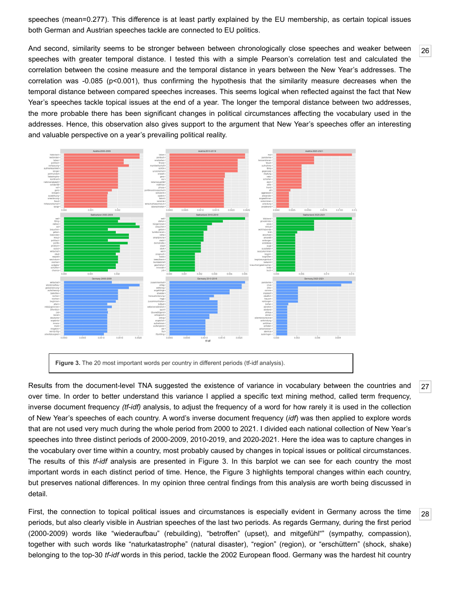speeches (mean=0.277). This difference is at least partly explained by the EU membership, as certain topical issues both German and Austrian speeches tackle are connected to EU politics.

<span id="page-6-0"></span>And second, similarity seems to be stronger between between chronologically close speeches and weaker between speeches with greater temporal distance. I tested this with a simple Pearson's correlation test and calculated the correlation between the cosine measure and the temporal distance in years between the New Year's addresses. The correlation was -0.085 (p<0.001), thus confirming the hypothesis that the similarity measure decreases when the temporal distance between compared speeches increases. This seems logical when reflected against the fact that New Year's speeches tackle topical issues at the end of a year. The longer the temporal distance between two addresses, the more probable there has been significant changes in political circumstances affecting the vocabulary used in the addresses. Hence, this observation also gives support to the argument that New Year's speeches offer an interesting and valuable perspective on a year's prevailing political reality.



<span id="page-6-1"></span>Results from the document-level TNA suggested the existence of variance in vocabulary between the countries and over time. In order to better understand this variance I applied a specific text mining method, called term frequency, inverse document frequency *(tf-idf)* analysis, to adjust the frequency of a word for how rarely it is used in the collection of New Year's speeches of each country. A word's inverse document frequency (*idf*) was then applied to explore words that are not used very much during the whole period from 2000 to 2021. I divided each national collection of New Year's speeches into three distinct periods of 2000-2009, 2010-2019, and 2020-2021. Here the idea was to capture changes in the vocabulary over time within a country, most probably caused by changes in topical issues or political circumstances. The results of this *tf-idf* analysis are presented in Figure 3. In this barplot we can see for each country the most important words in each distinct period of time. Hence, the Figure 3 highlights temporal changes within each country, but preserves national differences. In my opinion three central findings from this analysis are worth being discussed in detail.

<span id="page-6-2"></span>First, the connection to topical political issues and circumstances is especially evident in Germany across the time periods, but also clearly visible in Austrian speeches of the last two periods. As regards Germany, during the first period (2000-2009) words like "wiederaufbau" (rebuilding), "betroffen" (upset), and mitgefühl"" (sympathy, compassion), together with such words like "naturkatastrophe" (natural disaster), "region" (region), or "erschüttern" (shock, shake) belonging to the top-30 *tf-idf* words in this period, tackle the 2002 European flood. Germany was the hardest hit country

[27](#page-6-1)

[28](#page-6-2)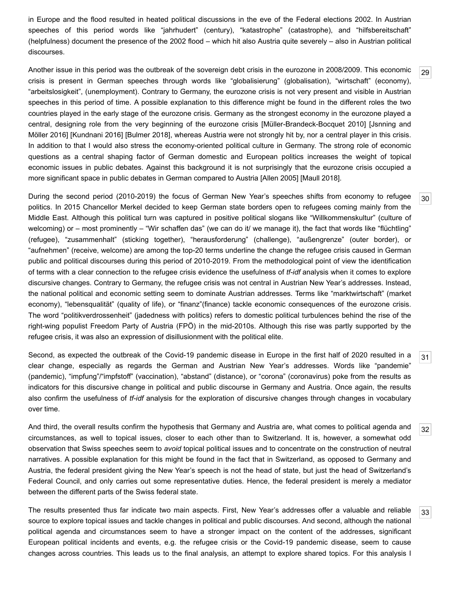in Europe and the flood resulted in heated political discussions in the eve of the Federal elections 2002. In Austrian speeches of this period words like "jahrhudert" (century), "katastrophe" (catastrophe), and "hilfsbereitschaft" (helpfulness) document the presence of the 2002 flood – which hit also Austria quite severely – also in Austrian political discourses.

[29](#page-7-0)

[30](#page-7-1)

[31](#page-7-2)

<span id="page-7-0"></span>Another issue in this period was the outbreak of the sovereign debt crisis in the eurozone in 2008/2009. This economic crisis is present in German speeches through words like "globalisierung" (globalisation), "wirtschaft" (economy), "arbeitslosigkeit", (unemployment). Contrary to Germany, the eurozone crisis is not very present and visible in Austrian speeches in this period of time. A possible explanation to this difference might be found in the different roles the two countries played in the early stage of the eurozone crisis. Germany as the strongest economy in the eurozone played a [central, designing role from the very beginning of the eurozone crisis \[M](#page-15-9)[üller-Brandeck-Bocquet 2010](#page-15-8)[\] \[Jsnning and](#page-15-9) Möller 2016] [\[Kundnani 2016](#page-15-10)] [\[Bulmer 2018](#page-14-8)], whereas Austria were not strongly hit by, nor a central player in this crisis. In addition to that I would also stress the economy-oriented political culture in Germany. The strong role of economic questions as a central shaping factor of German domestic and European politics increases the weight of topical economic issues in public debates. Against this background it is not surprisingly that the eurozone crisis occupied a more significant space in public debates in German compared to Austria [\[Allen 2005\]](#page-14-9) [[Maull 2018\]](#page-15-11).

<span id="page-7-1"></span>During the second period (2010-2019) the focus of German New Year's speeches shifts from economy to refugee politics. In 2015 Chancellor Merkel decided to keep German state borders open to refugees coming mainly from the Middle East. Although this political turn was captured in positive political slogans like "Willkommenskultur" (culture of welcoming) or – most prominently – "Wir schaffen das" (we can do it/ we manage it), the fact that words like "flüchtling" (refugee), "zusammenhalt" (sticking together), "herausforderung" (challenge), "außengrenze" (outer border), or "aufnehmen" (receive, welcome) are among the top-20 terms underline the change the refugee crisis caused in German public and political discourses during this period of 2010-2019. From the methodological point of view the identification of terms with a clear connection to the refugee crisis evidence the usefulness of *tf-idf* analysis when it comes to explore discursive changes. Contrary to Germany, the refugee crisis was not central in Austrian New Year's addresses. Instead, the national political and economic setting seem to dominate Austrian addresses. Terms like "marktwirtschaft" (market economy), "lebensqualität" (quality of life), or "finanz"(finance) tackle economic consequences of the eurozone crisis. The word "politikverdrossenheit" (jadedness with politics) refers to domestic political turbulences behind the rise of the right-wing populist Freedom Party of Austria (FPÖ) in the mid-2010s. Although this rise was partly supported by the refugee crisis, it was also an expression of disillusionment with the political elite.

<span id="page-7-2"></span>Second, as expected the outbreak of the Covid-19 pandemic disease in Europe in the first half of 2020 resulted in a clear change, especially as regards the German and Austrian New Year's addresses. Words like "pandemie" (pandemic), "impfung"/"impfstoff" (vaccination), "abstand" (distance), or "corona" (coronavirus) poke from the results as indicators for this discursive change in political and public discourse in Germany and Austria. Once again, the results also confirm the usefulness of *tf-idf* analysis for the exploration of discursive changes through changes in vocabulary over time.

<span id="page-7-3"></span>[32](#page-7-3) And third, the overall results confirm the hypothesis that Germany and Austria are, what comes to political agenda and circumstances, as well to topical issues, closer to each other than to Switzerland. It is, however, a somewhat odd observation that Swiss speeches seem to *avoid* topical political issues and to concentrate on the construction of neutral narratives. A possible explanation for this might be found in the fact that in Switzerland, as opposed to Germany and Austria, the federal president giving the New Year's speech is not the head of state, but just the head of Switzerland's Federal Council, and only carries out some representative duties. Hence, the federal president is merely a mediator between the different parts of the Swiss federal state.

<span id="page-7-4"></span>[33](#page-7-4) The results presented thus far indicate two main aspects. First, New Year's addresses offer a valuable and reliable source to explore topical issues and tackle changes in political and public discourses. And second, although the national political agenda and circumstances seem to have a stronger impact on the content of the addresses, significant European political incidents and events, e.g. the refugee crisis or the Covid-19 pandemic disease, seem to cause changes across countries. This leads us to the final analysis, an attempt to explore shared topics. For this analysis I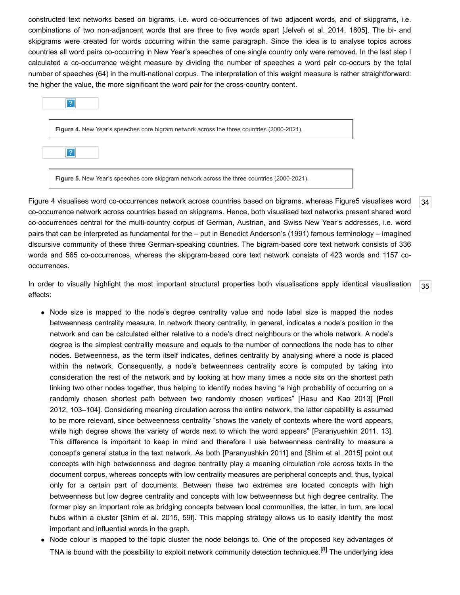constructed text networks based on bigrams, i.e. word co-occurrences of two adjacent words, and of skipgrams, i.e. combinations of two non-adjancent words that are three to five words apart [\[Jelveh et al. 2014](#page-15-3), 1805]. The bi- and skipgrams were created for words occurring within the same paragraph. Since the idea is to analyse topics across countries all word pairs co-occurring in New Year's speeches of one single country only were removed. In the last step I calculated a co-occurrence weight measure by dividing the number of speeches a word pair co-occurs by the total number of speeches (64) in the multi-national corpus. The interpretation of this weight measure is rather straightforward: the higher the value, the more significant the word pair for the cross-country content.

| ?                                                                                           |
|---------------------------------------------------------------------------------------------|
| Figure 4. New Year's speeches core bigram network across the three countries (2000-2021).   |
| ?                                                                                           |
| Figure 5. New Year's speeches core skipgram network across the three countries (2000-2021). |

<span id="page-8-0"></span>Figure 4 visualises word co-occurrences network across countries based on bigrams, whereas Figure5 visualises word co-occurrence network across countries based on skipgrams. Hence, both visualised text networks present shared word co-occurrences central for the multi-country corpus of German, Austrian, and Swiss New Year's addresses, i.e. word pairs that can be interpreted as fundamental for the – put in Benedict Anderson's (1991) famous terminology – imagined discursive community of these three German-speaking countries. The bigram-based core text network consists of 336 words and 565 co-occurrences, whereas the skipgram-based core text network consists of 423 words and 1157 cooccurrences.

[34](#page-8-0)

[35](#page-8-1)

<span id="page-8-1"></span>In order to visually highlight the most important structural properties both visualisations apply identical visualisation effects:

- Node size is mapped to the node's degree centrality value and node label size is mapped the nodes betweenness centrality measure. In network theory centrality, in general, indicates a node's position in the network and can be calculated either relative to a node's direct neighbours or the whole network. A node's degree is the simplest centrality measure and equals to the number of connections the node has to other nodes. Betweenness, as the term itself indicates, defines centrality by analysing where a node is placed within the network. Consequently, a node's betweenness centrality score is computed by taking into consideration the rest of the network and by looking at how many times a node sits on the shortest path linking two other nodes together, thus helping to identify nodes having "a high probability of occurring on a [randomly chosen shortest path between two randomly chosen vertices" \[Hasu and Kao 2013\] \[Prell](#page-16-8) 2012, 103–104]. Considering meaning circulation across the entire network, the latter capability is assumed to be more relevant, since betweenness centrality "shows the variety of contexts where the word appears, while high degree shows the variety of words next to which the word appears" [\[Paranyushkin 2011,](#page-16-2) 13]. This difference is important to keep in mind and therefore I use betweenness centrality to measure a concept's general status in the text network. As both [[Paranyushkin 2011](#page-16-2)] and [[Shim et al. 2015](#page-16-1)] point out concepts with high betweenness and degree centrality play a meaning circulation role across texts in the document corpus, whereas concepts with low centrality measures are peripheral concepts and, thus, typical only for a certain part of documents. Between these two extremes are located concepts with high betweenness but low degree centrality and concepts with low betweenness but high degree centrality. The former play an important role as bridging concepts between local communities, the latter, in turn, are local hubs within a cluster [[Shim et al. 2015,](#page-16-1) 59f]. This mapping strategy allows us to easily identify the most important and influential words in the graph.
- Node colour is mapped to the topic cluster the node belongs to. One of the proposed key advantages of TNA is bound with the possibility to exploit network community detection techniques.<sup>[8]</sup> The underlying idea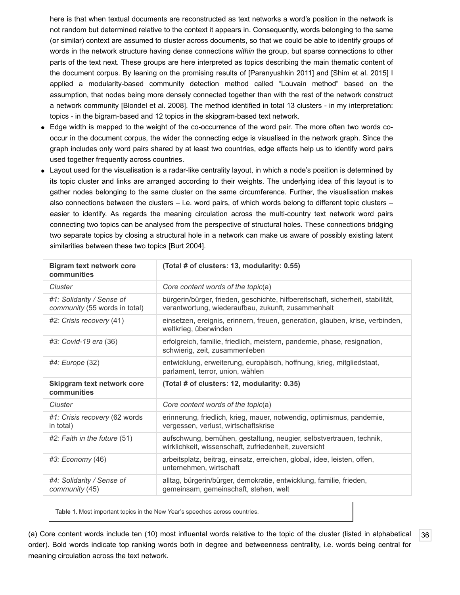here is that when textual documents are reconstructed as text networks a word's position in the network is not random but determined relative to the context it appears in. Consequently, words belonging to the same (or similar) context are assumed to cluster across documents, so that we could be able to identify groups of words in the network structure having dense connections *within* the group, but sparse connections to other parts of the text next. These groups are here interpreted as topics describing the main thematic content of the document corpus. By leaning on the promising results of [\[Paranyushkin 2011](#page-16-2)] and [\[Shim et al. 2015\]](#page-16-1) I applied a modularity-based community detection method called "Louvain method" based on the assumption, that nodes being more densely connected together than with the rest of the network construct a network community [[Blondel et al. 2008\]](#page-14-11). The method identified in total 13 clusters - in my interpretation: topics - in the bigram-based and 12 topics in the skipgram-based text network.

- Edge width is mapped to the weight of the co-occurrence of the word pair. The more often two words cooccur in the document corpus, the wider the connecting edge is visualised in the network graph. Since the graph includes only word pairs shared by at least two countries, edge effects help us to identify word pairs used together frequently across countries.
- Layout used for the visualisation is a radar-like centrality layout, in which a node's position is determined by its topic cluster and links are arranged according to their weights. The underlying idea of this layout is to gather nodes belonging to the same cluster on the same circumference. Further, the visualisation makes also connections between the clusters – i.e. word pairs, of which words belong to different topic clusters – easier to identify. As regards the meaning circulation across the multi-country text network word pairs connecting two topics can be analysed from the perspective of structural holes. These connections bridging two separate topics by closing a structural hole in a network can make us aware of possibly existing latent similarities between these two topics [\[Burt 2004\]](#page-14-12).

| <b>Bigram text network core</b><br>communities             | (Total # of clusters: 13, modularity: 0.55)                                                                                           |
|------------------------------------------------------------|---------------------------------------------------------------------------------------------------------------------------------------|
| Cluster                                                    | Core content words of the topic(a)                                                                                                    |
| #1: Solidarity / Sense of<br>community (55 words in total) | bürgerin/bürger, frieden, geschichte, hilfbereitschaft, sicherheit, stabilität,<br>verantwortung, wiederaufbau, zukunft, zusammenhalt |
| #2: Crisis recovery (41)                                   | einsetzen, ereignis, erinnern, freuen, generation, glauben, krise, verbinden,<br>weltkrieg, überwinden                                |
| #3: Covid-19 era (36)                                      | erfolgreich, familie, friedlich, meistern, pandemie, phase, resignation,<br>schwierig, zeit, zusammenleben                            |
| $#4$ : Europe $(32)$                                       | entwicklung, erweiterung, europäisch, hoffnung, krieg, mitgliedstaat,<br>parlament, terror, union, wählen                             |
| Skipgram text network core<br>communities                  | (Total # of clusters: 12, modularity: 0.35)                                                                                           |
| Cluster                                                    | Core content words of the topic(a)                                                                                                    |
| #1: Crisis recovery (62 words<br>in total)                 | erinnerung, friedlich, krieg, mauer, notwendig, optimismus, pandemie,<br>vergessen, verlust, wirtschaftskrise                         |
| $#2$ : Faith in the future $(51)$                          | aufschwung, bemühen, gestaltung, neugier, selbstvertrauen, technik,<br>wirklichkeit, wissenschaft, zufriedenheit, zuversicht          |
| #3: Economy (46)                                           | arbeitsplatz, beitrag, einsatz, erreichen, global, idee, leisten, offen,<br>unternehmen, wirtschaft                                   |
| #4: Solidarity / Sense of<br>community (45)                | alltag, bürgerin/bürger, demokratie, entwicklung, familie, frieden,<br>gemeinsam, gemeinschaft, stehen, welt                          |

**Table 1.** Most important topics in the New Year's speeches across countries.

<span id="page-9-0"></span>(a) Core content words include ten (10) most influental words relative to the topic of the cluster (listed in alphabetical order). Bold words indicate top ranking words both in degree and betweenness centrality, i.e. words being central for meaning circulation across the text network.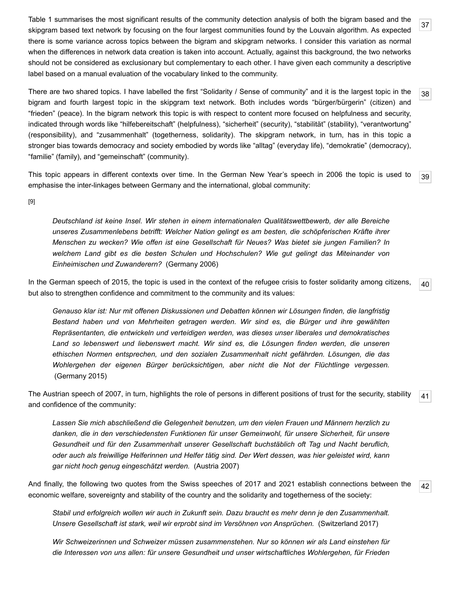<span id="page-10-0"></span>Table 1 summarises the most significant results of the community detection analysis of both the bigram based and the skipgram based text network by focusing on the four largest communities found by the Louvain algorithm. As expected there is some variance across topics between the bigram and skipgram networks. I consider this variation as normal when the differences in network data creation is taken into account. Actually, against this background, the two networks should not be considered as exclusionary but complementary to each other. I have given each community a descriptive label based on a manual evaluation of the vocabulary linked to the community.

<span id="page-10-1"></span>[38](#page-10-1) There are two shared topics. I have labelled the first "Solidarity / Sense of community" and it is the largest topic in the bigram and fourth largest topic in the skipgram text network. Both includes words "bürger/bürgerin" (citizen) and "frieden" (peace). In the bigram network this topic is with respect to content more focused on helpfulness and security, indicated through words like "hilfebereitschaft" (helpfulness), "sicherheit" (security), "stabilität" (stability), "verantwortung" (responsibility), and "zusammenhalt" (togetherness, solidarity). The skipgram network, in turn, has in this topic a stronger bias towards democracy and society embodied by words like "alltag" (everyday life), "demokratie" (democracy), "familie" (family), and "gemeinschaft" (community).

<span id="page-10-2"></span>This topic appears in different contexts over time. In the German New Year's speech in 2006 the topic is used to emphasise the inter-linkages between Germany and the international, global community:

[\[9\]](#page-14-13)

*Deutschland ist keine Insel. Wir stehen in einem internationalen Qualitätswettbewerb, der alle Bereiche unseres Zusammenlebens betrifft: Welcher Nation gelingt es am besten, die schöpferischen Kräfte ihrer Menschen zu wecken? Wie offen ist eine Gesellschaft für Neues? Was bietet sie jungen Familien? In welchem Land gibt es die besten Schulen und Hochschulen? Wie gut gelingt das Miteinander von Einheimischen und Zuwanderern?* ([Germany 2006](https://www.bundesregierung.de/breg-de/service/archiv?query=neujahrsansprache))

<span id="page-10-3"></span>[40](#page-10-3) In the German speech of 2015, the topic is used in the context of the refugee crisis to foster solidarity among citizens, but also to strengthen confidence and commitment to the community and its values:

*Genauso klar ist: Nur mit offenen Diskussionen und Debatten können wir Lösungen finden, die langfristig Bestand haben und von Mehrheiten getragen werden. Wir sind es, die Bürger und ihre gewählten Repräsentanten, die entwickeln und verteidigen werden, was dieses unser liberales und demokratisches Land so lebenswert und liebenswert macht. Wir sind es, die Lösungen finden werden, die unseren ethischen Normen entsprechen, und den sozialen Zusammenhalt nicht gefährden. Lösungen, die das Wohlergehen der eigenen Bürger berücksichtigen, aber nicht die Not der Flüchtlinge vergessen.* ([Germany 2015](https://www.bundesregierung.de/breg-de/service/archiv?query=neujahrsansprache))

<span id="page-10-4"></span>[41](#page-10-4) The Austrian speech of 2007, in turn, highlights the role of persons in different positions of trust for the security, stability and confidence of the community:

*Lassen Sie mich abschließend die Gelegenheit benutzen, um den vielen Frauen und Männern herzlich zu danken, die in den verschiedensten Funktionen für unser Gemeinwohl, für unsere Sicherheit, für unsere Gesundheit und für den Zusammenhalt unserer Gesellschaft buchstäblich oft Tag und Nacht beruflich, oder auch als freiwillige Helferinnen und Helfer tätig sind. Der Wert dessen, was hier geleistet wird, kann gar nicht hoch genug eingeschätzt werden.* [\(Austria 2007](https://www.bundespraesident.at/aktuelles/page))

<span id="page-10-5"></span>[42](#page-10-5) And finally, the following two quotes from the Swiss speeches of 2017 and 2021 establish connections between the economic welfare, sovereignty and stability of the country and the solidarity and togetherness of the society:

*Stabil und erfolgreich wollen wir auch in Zukunft sein. Dazu braucht es mehr denn je den Zusammenhalt. Unsere Gesellschaft ist stark, weil wir erprobt sind im Versöhnen von Ansprüchen.* ([Switzerland 2017](https://www.admin.ch/gov/de/start/dokumentation/reden/neujahrsansprachen.html))

*Wir Schweizerinnen und Schweizer müssen zusammenstehen. Nur so können wir als Land einstehen für die Interessen von uns allen: für unsere Gesundheit und unser wirtschaftliches Wohlergehen, für Frieden*

[37](#page-10-0)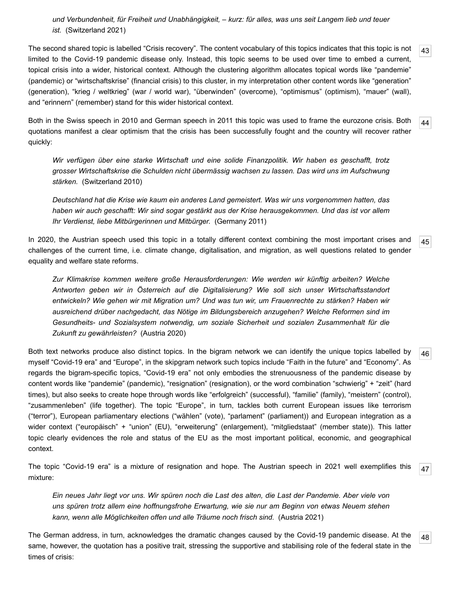*und Verbundenheit, für Freiheit und Unabhängigkeit, – kurz: für alles, was uns seit Langem lieb und teuer ist.* ([Switzerland 2021](https://www.admin.ch/gov/de/start/dokumentation/reden/neujahrsansprachen.html))

<span id="page-11-0"></span>[43](#page-11-0) The second shared topic is labelled "Crisis recovery". The content vocabulary of this topics indicates that this topic is not limited to the Covid-19 pandemic disease only. Instead, this topic seems to be used over time to embed a current, topical crisis into a wider, historical context. Although the clustering algorithm allocates topical words like "pandemie" (pandemic) or "wirtschaftskrise" (financial crisis) to this cluster, in my interpretation other content words like "generation" (generation), "krieg / weltkrieg" (war / world war), "überwinden" (overcome), "optimismus" (optimism), "mauer" (wall), and "erinnern" (remember) stand for this wider historical context.

<span id="page-11-1"></span>Both in the Swiss speech in 2010 and German speech in 2011 this topic was used to frame the eurozone crisis. Both quotations manifest a clear optimism that the crisis has been successfully fought and the country will recover rather quickly:

*Wir verfügen über eine starke Wirtschaft und eine solide Finanzpolitik. Wir haben es geschafft, trotz grosser Wirtschaftskrise die Schulden nicht übermässig wachsen zu lassen. Das wird uns im Aufschwung stärken.* [\(Switzerland 2010](https://www.admin.ch/gov/de/start/dokumentation/reden/neujahrsansprachen.html))

*Deutschland hat die Krise wie kaum ein anderes Land gemeistert. Was wir uns vorgenommen hatten, das haben wir auch geschafft: Wir sind sogar gestärkt aus der Krise herausgekommen. Und das ist vor allem Ihr Verdienst, liebe Mitbürgerinnen und Mitbürger.* ([Germany 2011\)](https://www.bundesregierung.de/breg-de/service/archiv?query=neujahrsansprache)

<span id="page-11-2"></span>In 2020, the Austrian speech used this topic in a totally different context combining the most important crises and challenges of the current time, i.e. climate change, digitalisation, and migration, as well questions related to gender equality and welfare state reforms.

*Zur Klimakrise kommen weitere große Herausforderungen: Wie werden wir künftig arbeiten? Welche Antworten geben wir in Österreich auf die Digitalisierung? Wie soll sich unser Wirtschaftsstandort entwickeln? Wie gehen wir mit Migration um? Und was tun wir, um Frauenrechte zu stärken? Haben wir ausreichend drüber nachgedacht, das Nötige im Bildungsbereich anzugehen? Welche Reformen sind im Gesundheits- und Sozialsystem notwendig, um soziale Sicherheit und sozialen Zusammenhalt für die Zukunft zu gewährleisten?* [\(Austria 2020](https://www.bundespraesident.at/aktuelles/page))

<span id="page-11-3"></span>Both text networks produce also distinct topics. In the bigram network we can identify the unique topics labelled by myself "Covid-19 era" and "Europe", in the skipgram network such topics include "Faith in the future" and "Economy". As regards the bigram-specific topics, "Covid-19 era" not only embodies the strenuousness of the pandemic disease by content words like "pandemie" (pandemic), "resignation" (resignation), or the word combination "schwierig" + "zeit" (hard times), but also seeks to create hope through words like "erfolgreich" (successful), "familie" (family), "meistern" (control), "zusammenleben" (life together). The topic "Europe", in turn, tackles both current European issues like terrorism ("terror"), European parliamentary elections ("wählen" (vote), "parlament" (parliament)) and European integration as a wider context ("europäisch" + "union" (EU), "erweiterung" (enlargement), "mitgliedstaat" (member state)). This latter topic clearly evidences the role and status of the EU as the most important political, economic, and geographical context.

<span id="page-11-4"></span>The topic "Covid-19 era" is a mixture of resignation and hope. The Austrian speech in 2021 well exemplifies this mixture:

*Ein neues Jahr liegt vor uns. Wir spüren noch die Last des alten, die Last der Pandemie. Aber viele von uns spüren trotz allem eine hoffnungsfrohe Erwartung, wie sie nur am Beginn von etwas Neuem stehen kann, wenn alle Möglichkeiten offen und alle Träume noch frisch sind.* ([Austria 2021\)](https://www.bundespraesident.at/aktuelles/page)

<span id="page-11-5"></span>The German address, in turn, acknowledges the dramatic changes caused by the Covid-19 pandemic disease. At the same, however, the quotation has a positive trait, stressing the supportive and stabilising role of the federal state in the times of crisis:

[44](#page-11-1)

[45](#page-11-2)

[46](#page-11-3)

[47](#page-11-4)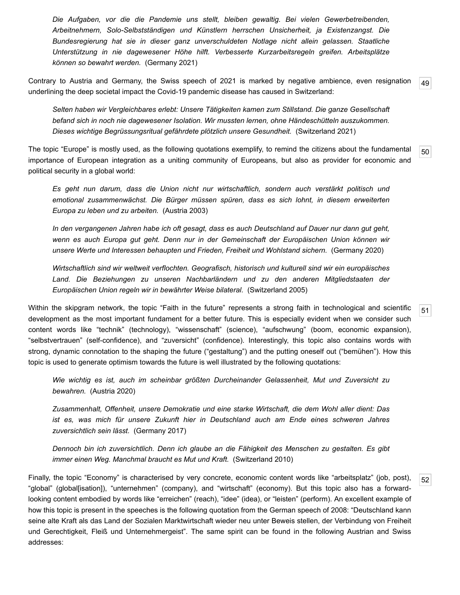*Die Aufgaben, vor die die Pandemie uns stellt, bleiben gewaltig. Bei vielen Gewerbetreibenden, Arbeitnehmern, Solo-Selbstständigen und Künstlern herrschen Unsicherheit, ja Existenzangst. Die Bundesregierung hat sie in dieser ganz unverschuldeten Notlage nicht allein gelassen. Staatliche Unterstützung in nie dagewesener Höhe hilft. Verbesserte Kurzarbeitsregeln greifen. Arbeitsplätze können so bewahrt werden.* [\(Germany 2021\)](https://www.bundesregierung.de/breg-de/service/archiv?query=neujahrsansprache)

<span id="page-12-0"></span>[49](#page-12-0) Contrary to Austria and Germany, the Swiss speech of 2021 is marked by negative ambience, even resignation underlining the deep societal impact the Covid-19 pandemic disease has caused in Switzerland:

*Selten haben wir Vergleichbares erlebt: Unsere Tätigkeiten kamen zum Stillstand. Die ganze Gesellschaft befand sich in noch nie dagewesener Isolation. Wir mussten lernen, ohne Händeschütteln auszukommen. Dieses wichtige Begrüssungsritual gefährdete plötzlich unsere Gesundheit.* ([Switzerland 2021](https://www.admin.ch/gov/de/start/dokumentation/reden/neujahrsansprachen.html))

<span id="page-12-1"></span>The topic "Europe" is mostly used, as the following quotations exemplify, to remind the citizens about the fundamental importance of European integration as a uniting community of Europeans, but also as provider for economic and political security in a global world:

[50](#page-12-1)

[51](#page-12-2)

[52](#page-12-3)

*Es geht nun darum, dass die Union nicht nur wirtschaftlich, sondern auch verstärkt politisch und emotional zusammenwächst. Die Bürger müssen spüren, dass es sich lohnt, in diesem erweiterten Europa zu leben und zu arbeiten.* ([Austria 2003\)](https://www.bundespraesident.at/aktuelles/page)

*In den vergangenen Jahren habe ich oft gesagt, dass es auch Deutschland auf Dauer nur dann gut geht, wenn es auch Europa gut geht. Denn nur in der Gemeinschaft der Europäischen Union können wir unsere Werte und Interessen behaupten und Frieden, Freiheit und Wohlstand sichern.* [\(Germany 2020\)](https://www.bundesregierung.de/breg-de/service/archiv?query=neujahrsansprache)

*Wirtschaftlich sind wir weltweit verflochten. Geografisch, historisch und kulturell sind wir ein europäisches Land. Die Beziehungen zu unseren Nachbarländern und zu den anderen Mitgliedstaaten der Europäischen Union regeln wir in bewährter Weise bilateral.* ([Switzerland 2005](https://www.admin.ch/gov/de/start/dokumentation/reden/neujahrsansprachen.html))

<span id="page-12-2"></span>Within the skipgram network, the topic "Faith in the future" represents a strong faith in technological and scientific development as the most important fundament for a better future. This is especially evident when we consider such content words like "technik" (technology), "wissenschaft" (science), "aufschwung" (boom, economic expansion), "selbstvertrauen" (self-confidence), and "zuversicht" (confidence). Interestingly, this topic also contains words with strong, dynamic connotation to the shaping the future ("gestaltung") and the putting oneself out ("bemühen"). How this topic is used to generate optimism towards the future is well illustrated by the following quotations:

*Wie wichtig es ist, auch im scheinbar größten Durcheinander Gelassenheit, Mut und Zuversicht zu bewahren.* [\(Austria 2020\)](https://www.bundespraesident.at/aktuelles/page)

*Zusammenhalt, Offenheit, unsere Demokratie und eine starke Wirtschaft, die dem Wohl aller dient: Das ist es, was mich für unsere Zukunft hier in Deutschland auch am Ende eines schweren Jahres zuversichtlich sein lässt.* [\(Germany 2017\)](https://www.bundesregierung.de/breg-de/service/archiv?query=neujahrsansprache)

*Dennoch bin ich zuversichtlich. Denn ich glaube an die Fähigkeit des Menschen zu gestalten. Es gibt immer einen Weg. Manchmal braucht es Mut und Kraft.* [\(Switzerland 2010](https://www.admin.ch/gov/de/start/dokumentation/reden/neujahrsansprachen.html))

<span id="page-12-3"></span>Finally, the topic "Economy" is characterised by very concrete, economic content words like "arbeitsplatz" (job, post), "global" (global[isation]), "unternehmen" (company), and "wirtschaft" (economy). But this topic also has a forwardlooking content embodied by words like "erreichen" (reach), "idee" (idea), or "leisten" (perform). An excellent example of how this topic is present in the speeches is the following quotation from the German speech of 2008: "Deutschland kann seine alte Kraft als das Land der Sozialen Marktwirtschaft wieder neu unter Beweis stellen, der Verbindung von Freiheit und Gerechtigkeit, Fleiß und Unternehmergeist". The same spirit can be found in the following Austrian and Swiss addresses: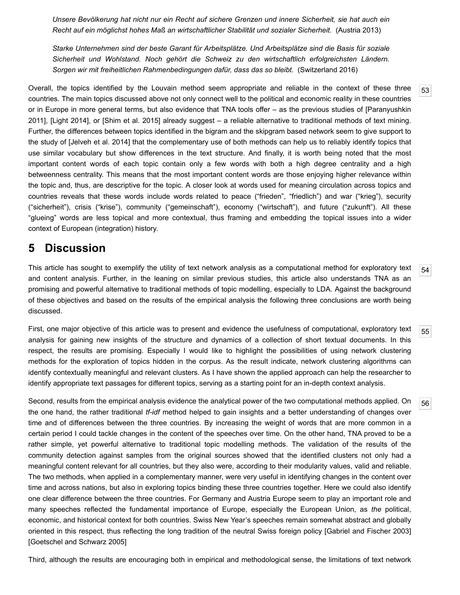*Unsere Bevölkerung hat nicht nur ein Recht auf sichere Grenzen und innere Sicherheit, sie hat auch ein Recht auf ein möglichst hohes Maß an wirtschaftlicher Stabilität und sozialer Sicherheit.* [\(Austria 2013](https://www.bundespraesident.at/aktuelles/page))

*Starke Unternehmen sind der beste Garant für Arbeitsplätze. Und Arbeitsplätze sind die Basis für soziale Sicherheit und Wohlstand. Noch gehört die Schweiz zu den wirtschaftlich erfolgreichsten Ländern. Sorgen wir mit freiheitlichen Rahmenbedingungen dafür, dass das so bleibt.* ([Switzerland 2016](https://www.admin.ch/gov/de/start/dokumentation/reden/neujahrsansprachen.html))

<span id="page-13-0"></span>Overall, the topics identified by the Louvain method seem appropriate and reliable in the context of these three countries. The main topics discussed above not only connect well to the political and economic reality in these countries [or in Europe in more general terms, but also evidence that TNA tools offer – as the previous studies of \[Paranyushkin](#page-16-2) 2011], [[Light 2014\]](#page-15-4), or [\[Shim et al. 2015\]](#page-16-1) already suggest – a reliable alternative to traditional methods of text mining. Further, the differences between topics identified in the bigram and the skipgram based network seem to give support to the study of [\[Jelveh et al. 2014\]](#page-15-3) that the complementary use of both methods can help us to reliably identify topics that use similar vocabulary but show differences in the text structure. And finally, it is worth being noted that the most important content words of each topic contain only a few words with both a high degree centrality and a high betweenness centrality. This means that the most important content words are those enjoying higher relevance within the topic and, thus, are descriptive for the topic. A closer look at words used for meaning circulation across topics and countries reveals that these words include words related to peace ("frieden", "friedlich") and war ("krieg"), security ("sicherheit"), crisis ("krise"), community ("gemeinschaft"), economy ("wirtschaft"), and future ("zukunft"). All these "glueing" words are less topical and more contextual, thus framing and embedding the topical issues into a wider context of European (integration) history.

#### **5 Discussion**

<span id="page-13-1"></span>This article has sought to exemplify the utility of text network analysis as a computational method for exploratory text and content analysis. Further, in the leaning on similar previous studies, this article also understands TNA as an promising and powerful alternative to traditional methods of topic modelling, especially to LDA. Against the background of these objectives and based on the results of the empirical analysis the following three conclusions are worth being discussed.

<span id="page-13-2"></span>First, one major objective of this article was to present and evidence the usefulness of computational, exploratory text analysis for gaining new insights of the structure and dynamics of a collection of short textual documents. In this respect, the results are promising. Especially I would like to highlight the possibilities of using network clustering methods for the exploration of topics hidden in the corpus. As the result indicate, network clustering algorithms can identify contextually meaningful and relevant clusters. As I have shown the applied approach can help the researcher to identify appropriate text passages for different topics, serving as a starting point for an in-depth context analysis.

<span id="page-13-3"></span>Second, results from the empirical analysis evidence the analytical power of the two computational methods applied. On the one hand, the rather traditional *tf-idf* method helped to gain insights and a better understanding of changes over time and of differences between the three countries. By increasing the weight of words that are more common in a certain period I could tackle changes in the content of the speeches over time. On the other hand, TNA proved to be a rather simple, yet powerful alternative to traditional topic modelling methods. The validation of the results of the community detection against samples from the original sources showed that the identified clusters not only had a meaningful content relevant for all countries, but they also were, according to their modularity values, valid and reliable. The two methods, when applied in a complementary manner, were very useful in identifying changes in the content over time and across nations, but also in exploring topics binding these three countries together. Here we could also identify one clear difference between the three countries. For Germany and Austria Europe seem to play an important role and many speeches reflected the fundamental importance of Europe, especially the European Union, as *the* political, economic, and historical context for both countries. Swiss New Year's speeches remain somewhat abstract and globally oriented in this respect, thus reflecting the long tradition of the neutral Swiss foreign policy [[Gabriel and Fischer 2003\]](#page-15-13) [\[Goetschel and Schwarz 2005\]](#page-15-14)

<span id="page-13-4"></span>Third, although the results are encouraging both in empirical and methodological sense, the limitations of text network

[53](#page-13-0)

[54](#page-13-1)

[55](#page-13-2)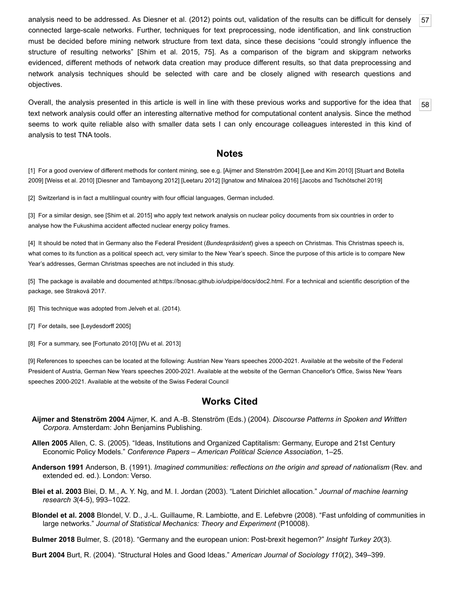analysis need to be addressed. As Diesner et al. (2012) points out, validation of the results can be difficult for densely connected large-scale networks. Further, techniques for text preprocessing, node identification, and link construction must be decided before mining network structure from text data, since these decisions "could strongly influence the structure of resulting networks" [[Shim et al. 2015,](#page-16-1) 75]. As a comparison of the bigram and skipgram networks evidenced, different methods of network data creation may produce different results, so that data preprocessing and network analysis techniques should be selected with care and be closely aligned with research questions and objectives.

<span id="page-14-14"></span>Overall, the analysis presented in this article is well in line with these previous works and supportive for the idea that text network analysis could offer an interesting alternative method for computational content analysis. Since the method seems to work quite reliable also with smaller data sets I can only encourage colleagues interested in this kind of analysis to test TNA tools.

#### **Notes**

<span id="page-14-0"></span>[\[1\] For a good overview of different methods for content mining, see e.g. \[Aijmer and Stenström 2004\] \[Lee and Kim 2010\] \[Stuart and Botella](#page-16-9) 2009] [\[Weiss et al. 2010](#page-16-10)] [\[Diesner and Tambayong 2012\]](#page-15-16) [\[Leetaru 2012\]](#page-15-17) [\[Ignatow and Mihalcea 2016](#page-15-18)] [[Jacobs and Tschötschel 2019\]](#page-15-19)

<span id="page-14-2"></span>[2] Switzerland is in fact a multilingual country with four official languages, German included.

<span id="page-14-3"></span>[3] For a similar design, see [[Shim et al. 2015](#page-16-1)] who apply text network analysis on nuclear policy documents from six countries in order to analyse how the Fukushima accident affected nuclear energy policy frames.

<span id="page-14-4"></span>[4] It should be noted that in Germany also the Federal President (*Bundespräsident*) gives a speech on Christmas. This Christmas speech is, what comes to its function as a political speech act, very similar to the New Year's speech. Since the purpose of this article is to compare New Year's addresses, German Christmas speeches are not included in this study.

<span id="page-14-5"></span>[5] The package is available and documented at[:https://bnosac.github.io/udpipe/docs/doc2.html.](https://bnosac.github.io/udpipe/docs/doc2.html) For a technical and scientific description of the package, see Straková 2017.

- <span id="page-14-6"></span>[6] This technique was adopted from Jelveh et al. (2014).
- <span id="page-14-7"></span>[7] For details, see [\[Leydesdorff 2005\]](#page-15-20)
- <span id="page-14-10"></span>[8] For a summary, see [\[Fortunato 2010](#page-15-21)] [[Wu et al. 2013](#page-16-11)]

<span id="page-14-13"></span>[\[9\] References to speeches can be located at the following: Austrian New Years speeches 2000-2021. Available at the website of the Federal](https://www.bundespraesident.at/aktuelles/page) President of Austria, German New Years speeches 2000-2021. Available at the website of the [German Chancellor's Office](https://www.bundesregierung.de/breg-de/service/archiv?query=neujahrsansprache), Swiss New Years speeches 2000-2021. Available at the website of the [Swiss Federal Council](https://www.admin.ch/gov/de/start/dokumentation/reden/neujahrsansprachen.html)

#### **Works Cited**

- <span id="page-14-15"></span>**Aijmer and Stenström 2004** Aijmer, K. and A.-B. Stenström (Eds.) (2004). *Discourse Patterns in Spoken and Written Corpora*. Amsterdam: John Benjamins Publishing.
- <span id="page-14-9"></span>**Allen 2005** Allen, C. S. (2005). "Ideas, Institutions and Organized Captitalism: Germany, Europe and 21st Century Economic Policy Models." *Conference Papers – American Political Science Association*, 1–25.
- **Anderson 1991** Anderson, B. (1991). *Imagined communities: reflections on the origin and spread of nationalism* (Rev. and extended ed. ed.). London: Verso.
- <span id="page-14-1"></span>**Blei et al. 2003** Blei, D. M., A. Y. Ng, and M. I. Jordan (2003). "Latent Dirichlet allocation." *Journal of machine learning research 3*(4-5), 993–1022.
- <span id="page-14-11"></span>**Blondel et al. 2008** Blondel, V. D., J.-L. Guillaume, R. Lambiotte, and E. Lefebvre (2008). "Fast unfolding of communities in large networks." *Journal of Statistical Mechanics: Theory and Experiment* (P10008).

<span id="page-14-8"></span>**Bulmer 2018** Bulmer, S. (2018). "Germany and the european union: Post-brexit hegemon?" *Insight Turkey 20*(3).

<span id="page-14-12"></span>**Burt 2004** Burt, R. (2004). "Structural Holes and Good Ideas." *American Journal of Sociology 110*(2), 349–399.

[57](#page-13-4)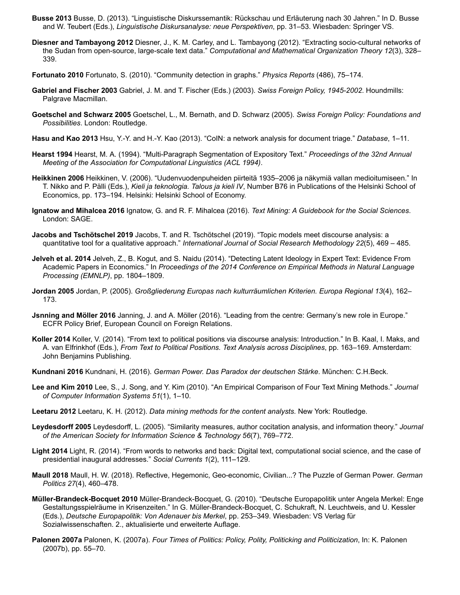- <span id="page-15-5"></span>**Busse 2013** Busse, D. (2013). "Linguistische Diskurssemantik: Rückschau und Erläuterung nach 30 Jahren." In D. Busse and W. Teubert (Eds.), *Linguistische Diskursanalyse: neue Perspektiven*, pp. 31–53. Wiesbaden: Springer VS.
- <span id="page-15-16"></span>**Diesner and Tambayong 2012** Diesner, J., K. M. Carley, and L. Tambayong (2012). "Extracting socio-cultural networks of the Sudan from open-source, large-scale text data." *Computational and Mathematical Organization Theory 12*(3), 328– 339.
- <span id="page-15-21"></span>**Fortunato 2010** Fortunato, S. (2010). "Community detection in graphs." *Physics Reports* (486), 75–174.
- <span id="page-15-13"></span>**Gabriel and Fischer 2003** Gabriel, J. M. and T. Fischer (Eds.) (2003). *Swiss Foreign Policy, 1945-2002*. Houndmills: Palgrave Macmillan.
- <span id="page-15-14"></span>**Goetschel and Schwarz 2005** Goetschel, L., M. Bernath, and D. Schwarz (2005). *Swiss Foreign Policy: Foundations and Possibilities*. London: Routledge.
- <span id="page-15-12"></span>**Hasu and Kao 2013** Hsu, Y.-Y. and H.-Y. Kao (2013). "CoIN: a network analysis for document triage." *Database*, 1–11.
- <span id="page-15-2"></span>**Hearst 1994** Hearst, M. A. (1994). "Multi-Paragraph Segmentation of Expository Text." *Proceedings of the 32nd Annual Meeting of the Association for Computational Linguistics (ACL 1994)*.
- <span id="page-15-7"></span>**Heikkinen 2006** Heikkinen, V. (2006). "Uudenvuodenpuheiden piirteitä 1935–2006 ja näkymiä vallan medioitumiseen." In T. Nikko and P. Pälli (Eds.), *Kieli ja teknologia. Talous ja kieli IV*, Number B76 in Publications of the Helsinki School of Economics, pp. 173–194. Helsinki: Helsinki School of Economy.
- <span id="page-15-18"></span>**Ignatow and Mihalcea 2016** Ignatow, G. and R. F. Mihalcea (2016). *Text Mining: A Guidebook for the Social Sciences*. London: SAGE.
- <span id="page-15-19"></span>**Jacobs and Tschötschel 2019** Jacobs, T. and R. Tschötschel (2019). "Topic models meet discourse analysis: a quantitative tool for a qualitative approach." *International Journal of Social Research Methodology 22*(5), 469 – 485.
- <span id="page-15-3"></span>**Jelveh et al. 2014** Jelveh, Z., B. Kogut, and S. Naidu (2014). "Detecting Latent Ideology in Expert Text: Evidence From Academic Papers in Economics." In *Proceedings of the 2014 Conference on Empirical Methods in Natural Language Processing (EMNLP)*, pp. 1804–1809.
- <span id="page-15-6"></span>**Jordan 2005** Jordan, P. (2005). *Großgliederung Europas nach kulturräumlichen Kriterien. Europa Regional 13*(4), 162– 173.
- <span id="page-15-9"></span>**Jsnning and Möller 2016** Janning, J. and A. Möller (2016). "Leading from the centre: Germany's new role in Europe." ECFR Policy Brief, European Council on Foreign Relations.
- <span id="page-15-0"></span>**Koller 2014** Koller, V. (2014). "From text to political positions via discourse analysis: Introduction." In B. Kaal, I. Maks, and A. van Elfrinkhof (Eds.), *From Text to Political Positions. Text Analysis across Disciplines*, pp. 163–169. Amsterdam: John Benjamins Publishing.
- <span id="page-15-10"></span>**Kundnani 2016** Kundnani, H. (2016). *German Power. Das Paradox der deutschen Stärke*. München: C.H.Beck.
- <span id="page-15-15"></span>**Lee and Kim 2010** Lee, S., J. Song, and Y. Kim (2010). "An Empirical Comparison of Four Text Mining Methods." *Journal of Computer Information Systems 51*(1), 1–10.
- <span id="page-15-17"></span>**Leetaru 2012** Leetaru, K. H. (2012). *Data mining methods for the content analysts.* New York: Routledge.
- <span id="page-15-20"></span>**Leydesdorff 2005** Leydesdorff, L. (2005). "Similarity measures, author cocitation analysis, and information theory." *Journal of the American Society for Information Science & Technology 56*(7), 769–772.
- <span id="page-15-4"></span>**Light 2014** Light, R. (2014). "From words to networks and back: Digital text, computational social science, and the case of presidential inaugural addresses." *Social Currents 1*(2), 111–129.
- <span id="page-15-11"></span>**Maull 2018** Maull, H. W. (2018). Reflective, Hegemonic, Geo-economic, Civilian...? The Puzzle of German Power. *German Politics 27*(4), 460–478.
- <span id="page-15-8"></span>**Müller-Brandeck-Bocquet 2010** Müller-Brandeck-Bocquet, G. (2010). "Deutsche Europapolitik unter Angela Merkel: Enge Gestaltungsspielräume in Krisenzeiten." In G. Müller-Brandeck-Bocquet, C. Schukraft, N. Leuchtweis, and U. Kessler (Eds.), *Deutsche Europapolitik: Von Adenauer bis Merkel*, pp. 253–349. Wiesbaden: VS Verlag für Sozialwissenschaften. 2., aktualisierte und erweiterte Auflage.
- <span id="page-15-1"></span>**Palonen 2007a** Palonen, K. (2007a). *Four Times of Politics: Policy, Polity, Politicking and Politicization*, In: K. Palonen (2007b), pp. 55–70.